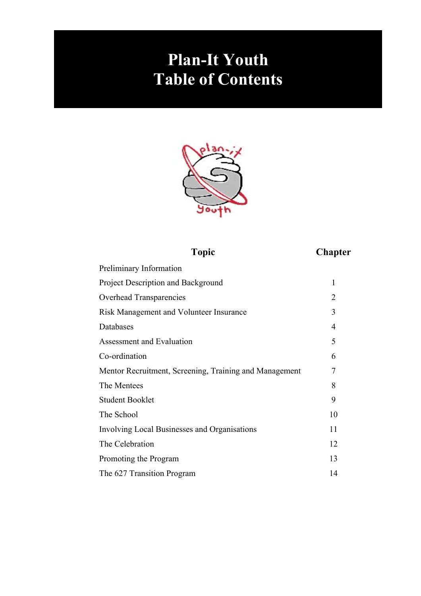## **Plan-It Youth Table of Contents**



**Topic Chapter**

| Preliminary Information                                |                |
|--------------------------------------------------------|----------------|
| Project Description and Background                     | 1              |
| Overhead Transparencies                                | $\overline{2}$ |
| Risk Management and Volunteer Insurance                | 3              |
| Databases                                              | $\overline{4}$ |
| Assessment and Evaluation                              | 5              |
| Co-ordination                                          | 6              |
| Mentor Recruitment, Screening, Training and Management | 7              |
| The Mentees                                            | 8              |
| <b>Student Booklet</b>                                 | 9              |
| The School                                             | 10             |
| Involving Local Businesses and Organisations           | 11             |
| The Celebration                                        | 12             |
| Promoting the Program                                  | 13             |
| The 627 Transition Program                             | 14             |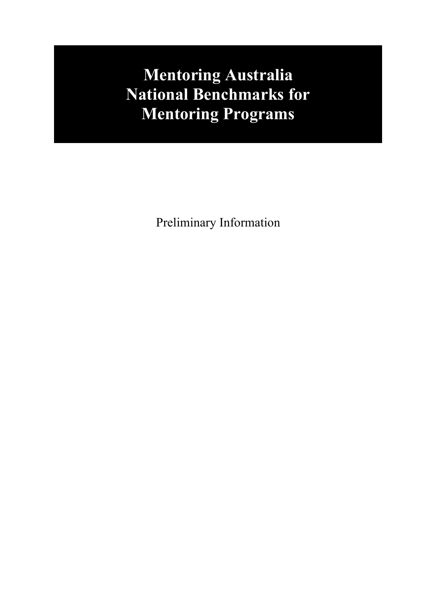## **Mentoring Australia National Benchmarks for Mentoring Programs**

Preliminary Information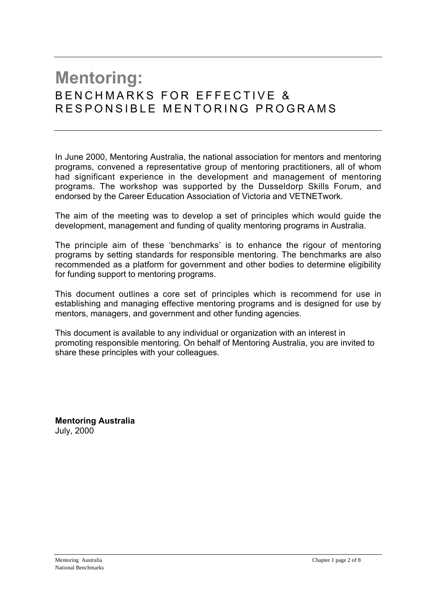### **Mentoring:** B F N C H M A R K S F O R F F F F C T I V F & RESPONSIBLE MENTORING PROGRAMS

In June 2000, Mentoring Australia, the national association for mentors and mentoring programs, convened a representative group of mentoring practitioners, all of whom had significant experience in the development and management of mentoring programs. The workshop was supported by the Dusseldorp Skills Forum, and endorsed by the Career Education Association of Victoria and VETNETwork.

The aim of the meeting was to develop a set of principles which would guide the development, management and funding of quality mentoring programs in Australia.

The principle aim of these 'benchmarks' is to enhance the rigour of mentoring programs by setting standards for responsible mentoring. The benchmarks are also recommended as a platform for government and other bodies to determine eligibility for funding support to mentoring programs.

This document outlines a core set of principles which is recommend for use in establishing and managing effective mentoring programs and is designed for use by mentors, managers, and government and other funding agencies.

This document is available to any individual or organization with an interest in promoting responsible mentoring. On behalf of Mentoring Australia, you are invited to share these principles with your colleagues.

**Mentoring Australia** July, 2000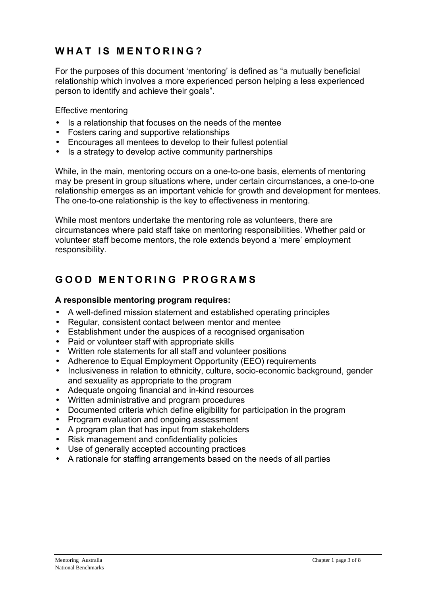### WHAT IS MENTORING?

For the purposes of this document 'mentoring' is defined as "a mutually beneficial relationship which involves a more experienced person helping a less experienced person to identify and achieve their goals".

Effective mentoring

- Is a relationship that focuses on the needs of the mentee
- Fosters caring and supportive relationships
- Encourages all mentees to develop to their fullest potential
- Is a strategy to develop active community partnerships

While, in the main, mentoring occurs on a one-to-one basis, elements of mentoring may be present in group situations where, under certain circumstances, a one-to-one relationship emerges as an important vehicle for growth and development for mentees. The one-to-one relationship is the key to effectiveness in mentoring.

While most mentors undertake the mentoring role as volunteers, there are circumstances where paid staff take on mentoring responsibilities. Whether paid or volunteer staff become mentors, the role extends beyond a 'mere' employment responsibility.

### **G O O D M E N T O R I N G P R O G R A M S**

### **A responsible mentoring program requires:**

- A well-defined mission statement and established operating principles
- Regular, consistent contact between mentor and mentee
- Establishment under the auspices of a recognised organisation
- Paid or volunteer staff with appropriate skills
- Written role statements for all staff and volunteer positions
- Adherence to Equal Employment Opportunity (EEO) requirements
- Inclusiveness in relation to ethnicity, culture, socio-economic background, gender and sexuality as appropriate to the program
- Adequate ongoing financial and in-kind resources
- Written administrative and program procedures
- Documented criteria which define eligibility for participation in the program
- Program evaluation and ongoing assessment
- A program plan that has input from stakeholders
- Risk management and confidentiality policies
- Use of generally accepted accounting practices
- A rationale for staffing arrangements based on the needs of all parties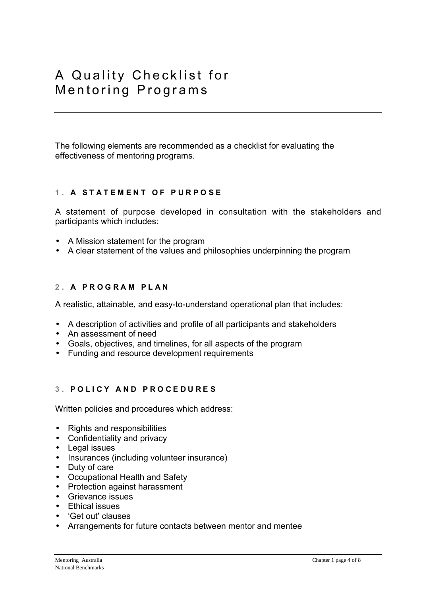### A Quality Checklist for Mentoring Programs

The following elements are recommended as a checklist for evaluating the effectiveness of mentoring programs.

### **1 . A S T A T E M E N T O F P U R P O S E**

A statement of purpose developed in consultation with the stakeholders and participants which includes:

- A Mission statement for the program
- A clear statement of the values and philosophies underpinning the program

### 2. A PROGRAM PLAN

A realistic, attainable, and easy-to-understand operational plan that includes:

- A description of activities and profile of all participants and stakeholders
- An assessment of need
- Goals, objectives, and timelines, for all aspects of the program
- Funding and resource development requirements

### **3 . P O L I C Y A N D P R O C E D U R E S**

Written policies and procedures which address:

- Rights and responsibilities
- Confidentiality and privacy
- Legal issues
- Insurances (including volunteer insurance)
- Duty of care
- Occupational Health and Safety
- Protection against harassment
- Grievance issues
- Ethical issues
- 'Get out' clauses
- Arrangements for future contacts between mentor and mentee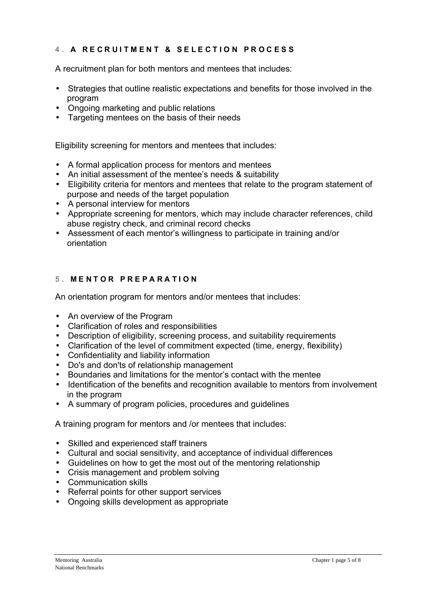### **4 . A R E C R U I T M E N T & S E L E C T I O N P R O C E S S**

A recruitment plan for both mentors and mentees that includes:

- Strategies that outline realistic expectations and benefits for those involved in the program
- Ongoing marketing and public relations
- Targeting mentees on the basis of their needs

Eligibility screening for mentors and mentees that includes:

- A formal application process for mentors and mentees
- An initial assessment of the mentee's needs & suitability
- Eligibility criteria for mentors and mentees that relate to the program statement of purpose and needs of the target population
- A personal interview for mentors
- Appropriate screening for mentors, which may include character references, child abuse registry check, and criminal record checks
- Assessment of each mentor's willingness to participate in training and/or orientation

### **5 . M E N T O R P R E P A R A T I O N**

An orientation program for mentors and/or mentees that includes:

- An overview of the Program
- Clarification of roles and responsibilities
- Description of eligibility, screening process, and suitability requirements
- Clarification of the level of commitment expected (time, energy, flexibility)
- Confidentiality and liability information
- Do's and don'ts of relationship management
- Boundaries and limitations for the mentor's contact with the mentee
- Identification of the benefits and recognition available to mentors from involvement in the program
- A summary of program policies, procedures and guidelines

A training program for mentors and /or mentees that includes:

- Skilled and experienced staff trainers
- Cultural and social sensitivity, and acceptance of individual differences
- Guidelines on how to get the most out of the mentoring relationship
- Crisis management and problem solving
- Communication skills
- Referral points for other support services
- Ongoing skills development as appropriate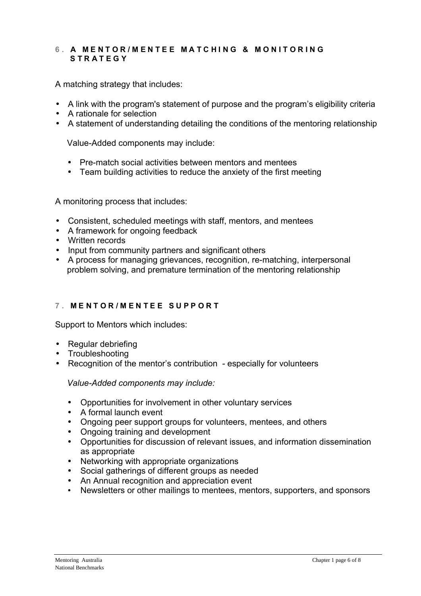### **6 . A M E N T O R / M E N T E E M A T C H I N G & M O N I T O R I N G S T R A T E G Y**

A matching strategy that includes:

- A link with the program's statement of purpose and the program's eligibility criteria
- A rationale for selection
- A statement of understanding detailing the conditions of the mentoring relationship

Value-Added components may include:

- Pre-match social activities between mentors and mentees
- Team building activities to reduce the anxiety of the first meeting

A monitoring process that includes:

- Consistent, scheduled meetings with staff, mentors, and mentees
- A framework for ongoing feedback
- Written records
- Input from community partners and significant others
- A process for managing grievances, recognition, re-matching, interpersonal problem solving, and premature termination of the mentoring relationship

### **7 . M E N T O R / M E N T E E S U P P O R T**

Support to Mentors which includes:

- Regular debriefing
- Troubleshooting
- Recognition of the mentor's contribution especially for volunteers

*Value-Added components may include:*

- Opportunities for involvement in other voluntary services
- A formal launch event
- Ongoing peer support groups for volunteers, mentees, and others
- Ongoing training and development
- Opportunities for discussion of relevant issues, and information dissemination as appropriate
- Networking with appropriate organizations
- Social gatherings of different groups as needed
- An Annual recognition and appreciation event
- Newsletters or other mailings to mentees, mentors, supporters, and sponsors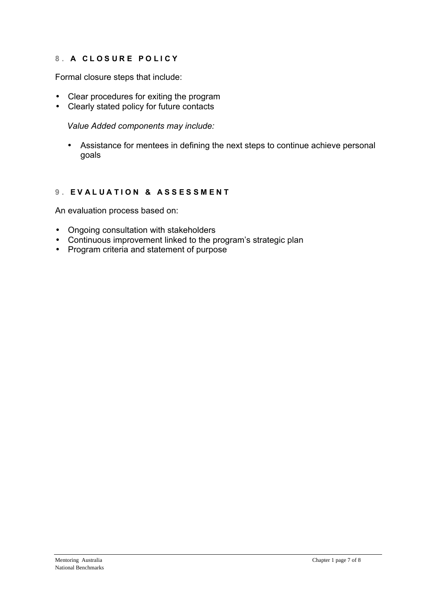### **8 . A C L O S U R E P O L I C Y**

Formal closure steps that include:

- Clear procedures for exiting the program
- Clearly stated policy for future contacts

*Value Added components may include:*

• Assistance for mentees in defining the next steps to continue achieve personal goals

### **9. EVALUATION & ASSESSMENT**

An evaluation process based on:

- Ongoing consultation with stakeholders
- Continuous improvement linked to the program's strategic plan
- Program criteria and statement of purpose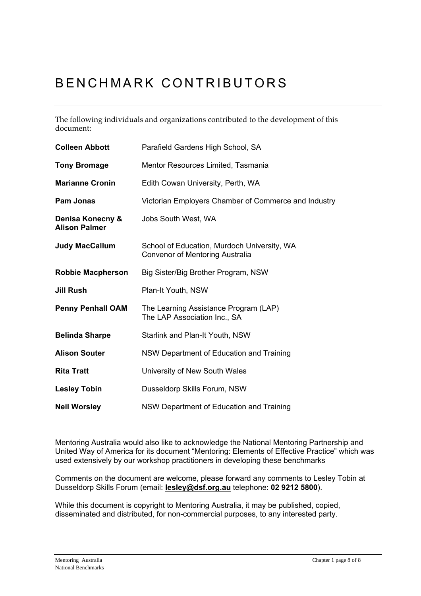### BENCHMARK CONTRIBUTORS

The following individuals and organizations contributed to the development of this document:

| <b>Colleen Abbott</b>                    | Parafield Gardens High School, SA                                                     |
|------------------------------------------|---------------------------------------------------------------------------------------|
| <b>Tony Bromage</b>                      | Mentor Resources Limited, Tasmania                                                    |
| <b>Marianne Cronin</b>                   | Edith Cowan University, Perth, WA                                                     |
| <b>Pam Jonas</b>                         | Victorian Employers Chamber of Commerce and Industry                                  |
| Denisa Konecny &<br><b>Alison Palmer</b> | Jobs South West, WA                                                                   |
| <b>Judy MacCallum</b>                    | School of Education, Murdoch University, WA<br><b>Convenor of Mentoring Australia</b> |
| <b>Robbie Macpherson</b>                 | Big Sister/Big Brother Program, NSW                                                   |
| Jill Rush                                | Plan-It Youth, NSW                                                                    |
| <b>Penny Penhall OAM</b>                 | The Learning Assistance Program (LAP)<br>The LAP Association Inc., SA                 |
| <b>Belinda Sharpe</b>                    | Starlink and Plan-It Youth, NSW                                                       |
| <b>Alison Souter</b>                     | NSW Department of Education and Training                                              |
| <b>Rita Tratt</b>                        | University of New South Wales                                                         |
| <b>Lesley Tobin</b>                      | Dusseldorp Skills Forum, NSW                                                          |
| <b>Neil Worsley</b>                      | NSW Department of Education and Training                                              |

Mentoring Australia would also like to acknowledge the National Mentoring Partnership and United Way of America for its document "Mentoring: Elements of Effective Practice" which was used extensively by our workshop practitioners in developing these benchmarks

Comments on the document are welcome, please forward any comments to Lesley Tobin at Dusseldorp Skills Forum (email: **lesley@dsf.org.au** telephone: **02 9212 5800**).

While this document is copyright to Mentoring Australia, it may be published, copied, disseminated and distributed, for non-commercial purposes, to any interested party.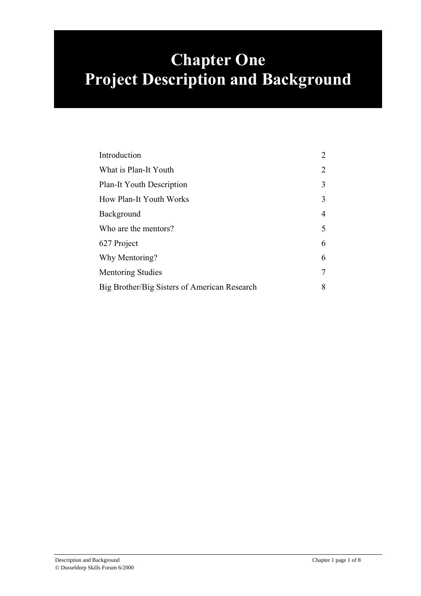## **Chapter One Project Description and Background**

| Introduction                                 | $\overline{2}$ |
|----------------------------------------------|----------------|
| What is Plan-It Youth                        | $\overline{2}$ |
| Plan-It Youth Description                    | 3              |
| How Plan-It Youth Works                      | 3              |
| Background                                   | $\overline{4}$ |
| Who are the mentors?                         | 5              |
| 627 Project                                  | 6              |
| Why Mentoring?                               | 6              |
| <b>Mentoring Studies</b>                     | $\overline{7}$ |
| Big Brother/Big Sisters of American Research | 8              |
|                                              |                |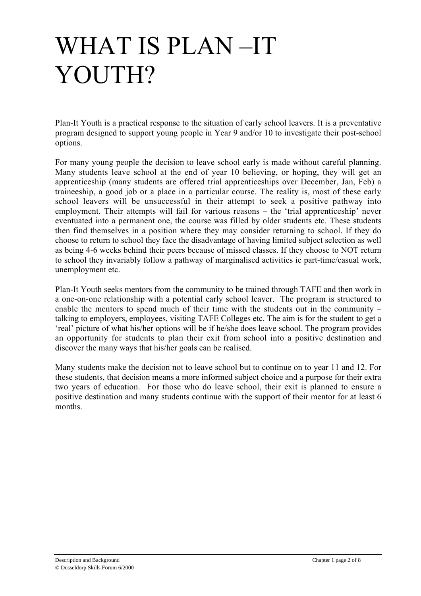# WHAT IS PLAN-IT YOUTH?

Plan-It Youth is a practical response to the situation of early school leavers. It is a preventative program designed to support young people in Year 9 and/or 10 to investigate their post-school options.

For many young people the decision to leave school early is made without careful planning. Many students leave school at the end of year 10 believing, or hoping, they will get an apprenticeship (many students are offered trial apprenticeships over December, Jan, Feb) a traineeship, a good job or a place in a particular course. The reality is, most of these early school leavers will be unsuccessful in their attempt to seek a positive pathway into employment. Their attempts will fail for various reasons  $-$  the 'trial apprenticeship' never eventuated into a permanent one, the course was filled by older students etc. These students then find themselves in a position where they may consider returning to school. If they do choose to return to school they face the disadvantage of having limited subject selection as well as being 4-6 weeks behind their peers because of missed classes. If they choose to NOT return to school they invariably follow a pathway of marginalised activities ie part-time/casual work, unemployment etc.

Plan-It Youth seeks mentors from the community to be trained through TAFE and then work in a one-on-one relationship with a potential early school leaver. The program is structured to enable the mentors to spend much of their time with the students out in the community  $$ talking to employers, employees, visiting TAFE Colleges etc. The aim is for the student to get a 'real' picture of what his/her options will be if he/she does leave school. The program provides an opportunity for students to plan their exit from school into a positive destination and discover the many ways that his/her goals can be realised.

Many students make the decision not to leave school but to continue on to year 11 and 12. For these students, that decision means a more informed subject choice and a purpose for their extra two years of education. For those who do leave school, their exit is planned to ensure a positive destination and many students continue with the support of their mentor for at least 6 months.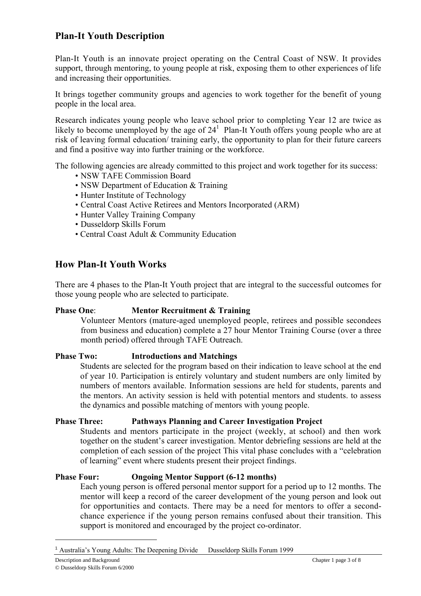### **Plan-It Youth Description**

Plan-It Youth is an innovate project operating on the Central Coast of NSW. It provides support, through mentoring, to young people at risk, exposing them to other experiences of life and increasing their opportunities.

It brings together community groups and agencies to work together for the benefit of young people in the local area.

Research indicates young people who leave school prior to completing Year 12 are twice as likely to become unemployed by the age of  $24<sup>1</sup>$  Plan-It Youth offers young people who are at risk of leaving formal education/ training early, the opportunity to plan for their future careers and find a positive way into further training or the workforce.

The following agencies are already committed to this project and work together for its success:

- NSW TAFE Commission Board
- NSW Department of Education & Training
- Hunter Institute of Technology
- Central Coast Active Retirees and Mentors Incorporated (ARM)
- Hunter Valley Training Company
- Dusseldorp Skills Forum
- Central Coast Adult & Community Education

### **How Plan-It Youth Works**

There are 4 phases to the Plan-It Youth project that are integral to the successful outcomes for those young people who are selected to participate.

#### **Phase One**: **Mentor Recruitment & Training**

Volunteer Mentors (mature-aged unemployed people, retirees and possible secondees from business and education) complete a 27 hour Mentor Training Course (over a three month period) offered through TAFE Outreach.

#### **Phase Two: Introductions and Matchings**

Students are selected for the program based on their indication to leave school at the end of year 10. Participation is entirely voluntary and student numbers are only limited by numbers of mentors available. Information sessions are held for students, parents and the mentors. An activity session is held with potential mentors and students. to assess the dynamics and possible matching of mentors with young people.

#### **Phase Three: Pathways Planning and Career Investigation Project**

Students and mentors participate in the project (weekly, at school) and then work together on the student's career investigation. Mentor debriefing sessions are held at the completion of each session of the project This vital phase concludes with a "celebration" of learningî event where students present their project findings.

#### **Phase Four: Ongoing Mentor Support (6-12 months)**

Each young person is offered personal mentor support for a period up to 12 months. The mentor will keep a record of the career development of the young person and look out for opportunities and contacts. There may be a need for mentors to offer a secondchance experience if the young person remains confused about their transition. This support is monitored and encouraged by the project co-ordinator.

Description and Background Chapter 1 page 3 of 8 © Dusseldorp Skills Forum 6/2000

<sup>1</sup> Australiaís Young Adults: The Deepening Divide Dusseldorp Skills Forum 1999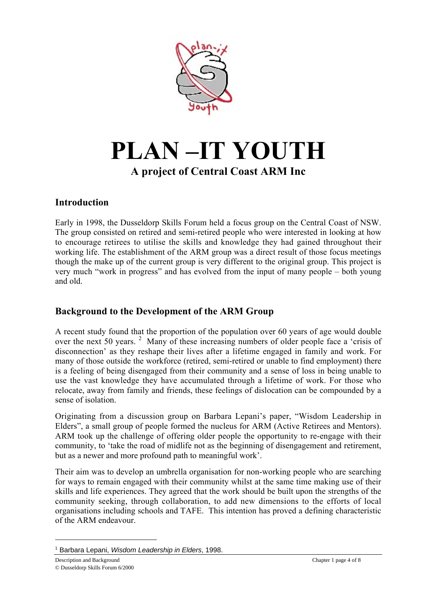

## **PLAN-IT YOUTH A project of Central Coast ARM Inc**

### **Introduction**

Early in 1998, the Dusseldorp Skills Forum held a focus group on the Central Coast of NSW. The group consisted on retired and semi-retired people who were interested in looking at how to encourage retirees to utilise the skills and knowledge they had gained throughout their working life. The establishment of the ARM group was a direct result of those focus meetings though the make up of the current group is very different to the original group. This project is very much "work in progress" and has evolved from the input of many people – both young and old.

### **Background to the Development of the ARM Group**

A recent study found that the proportion of the population over 60 years of age would double over the next 50 years.<sup>2</sup> Many of these increasing numbers of older people face a 'crisis of disconnection' as they reshape their lives after a lifetime engaged in family and work. For many of those outside the workforce (retired, semi-retired or unable to find employment) there is a feeling of being disengaged from their community and a sense of loss in being unable to use the vast knowledge they have accumulated through a lifetime of work. For those who relocate, away from family and friends, these feelings of dislocation can be compounded by a sense of isolation.

Originating from a discussion group on Barbara Lepani's paper, "Wisdom Leadership in Elders", a small group of people formed the nucleus for ARM (Active Retirees and Mentors). ARM took up the challenge of offering older people the opportunity to re-engage with their community, to 'take the road of midlife not as the beginning of disengagement and retirement, but as a newer and more profound path to meaningful work'.

Their aim was to develop an umbrella organisation for non-working people who are searching for ways to remain engaged with their community whilst at the same time making use of their skills and life experiences. They agreed that the work should be built upon the strengths of the community seeking, through collaboration, to add new dimensions to the efforts of local organisations including schools and TAFE. This intention has proved a defining characteristic of the ARM endeavour.

<sup>&</sup>lt;sup>1</sup> Barbara Lepani, *Wisdom Leadership in Elders*, 1998.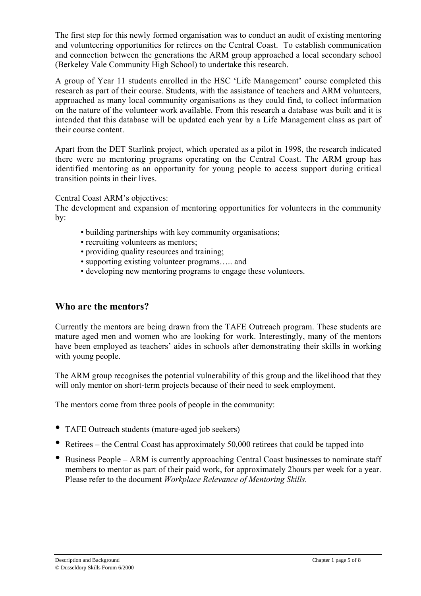The first step for this newly formed organisation was to conduct an audit of existing mentoring and volunteering opportunities for retirees on the Central Coast. To establish communication and connection between the generations the ARM group approached a local secondary school (Berkeley Vale Community High School) to undertake this research.

A group of Year 11 students enrolled in the HSC 'Life Management' course completed this research as part of their course. Students, with the assistance of teachers and ARM volunteers, approached as many local community organisations as they could find, to collect information on the nature of the volunteer work available. From this research a database was built and it is intended that this database will be updated each year by a Life Management class as part of their course content.

Apart from the DET Starlink project, which operated as a pilot in 1998, the research indicated there were no mentoring programs operating on the Central Coast. The ARM group has identified mentoring as an opportunity for young people to access support during critical transition points in their lives.

Central Coast ARM's objectives:

The development and expansion of mentoring opportunities for volunteers in the community by:

- building partnerships with key community organisations;
- recruiting volunteers as mentors;
- providing quality resources and training;
- supporting existing volunteer programs..... and
- developing new mentoring programs to engage these volunteers.

### **Who are the mentors?**

Currently the mentors are being drawn from the TAFE Outreach program. These students are mature aged men and women who are looking for work. Interestingly, many of the mentors have been employed as teachers' aides in schools after demonstrating their skills in working with young people.

The ARM group recognises the potential vulnerability of this group and the likelihood that they will only mentor on short-term projects because of their need to seek employment.

The mentors come from three pools of people in the community:

- TAFE Outreach students (mature-aged job seekers)
- Retirees the Central Coast has approximately 50,000 retirees that could be tapped into
- Business People ARM is currently approaching Central Coast businesses to nominate staff members to mentor as part of their paid work, for approximately 2hours per week for a year. Please refer to the document *Workplace Relevance of Mentoring Skills.*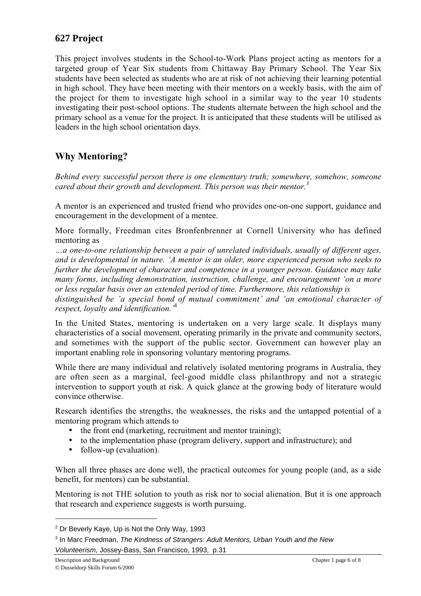### **627 Project**

This project involves students in the School-to-Work Plans project acting as mentors for a targeted group of Year Six students from Chittaway Bay Primary School. The Year Six students have been selected as students who are at risk of not achieving their learning potential in high school. They have been meeting with their mentors on a weekly basis, with the aim of the project for them to investigate high school in a similar way to the year 10 students investigating their post-school options. The students alternate between the high school and the primary school as a venue for the project. It is anticipated that these students will be utilised as leaders in the high school orientation days.

### **Why Mentoring?**

*Behind every successful person there is one elementary truth; somewhere, somehow, someone cared about their growth and development. This person was their mentor.<sup>3</sup>*

A mentor is an experienced and trusted friend who provides one-on-one support, guidance and encouragement in the development of a mentee.

More formally, Freedman cites Bronfenbrenner at Cornell University who has defined mentoring as

*Öa one-to-one relationship between a pair of unrelated individuals, usually of different ages, and is developmental in nature. ëA mentor is an older, more experienced person who seeks to further the development of character and competence in a younger person. Guidance may take many forms, including demonstration, instruction, challenge, and encouragement 'on a more or less regular basis over an extended period of time. Furthermore, this relationship is*

distinguished be 'a special bond of mutual commitment' and 'an emotional character of *respect, loyalty and identification.*<sup>4</sup>

In the United States, mentoring is undertaken on a very large scale. It displays many characteristics of a social movement, operating primarily in the private and community sectors, and sometimes with the support of the public sector. Government can however play an important enabling role in sponsoring voluntary mentoring programs.

While there are many individual and relatively isolated mentoring programs in Australia, they are often seen as a marginal, feel-good middle class philanthropy and not a strategic intervention to support youth at risk. A quick glance at the growing body of literature would convince otherwise.

Research identifies the strengths, the weaknesses, the risks and the untapped potential of a mentoring program which attends to

- the front end (marketing, recruitment and mentor training);
- to the implementation phase (program delivery, support and infrastructure); and
- follow-up (evaluation).

When all three phases are done well, the practical outcomes for young people (and, as a side benefit, for mentors) can be substantial.

Mentoring is not THE solution to youth as risk nor to social alienation. But it is one approach that research and experience suggests is worth pursuing.

 $2$  Dr Beverly Kaye, Up is Not the Only Way, 1993

<sup>&</sup>lt;sup>3</sup> In Marc Freedman, The Kindness of Strangers: Adult Mentors, Urban Youth and the New Volunteerism, Jossey-Bass, San Francisco, 1993, p.31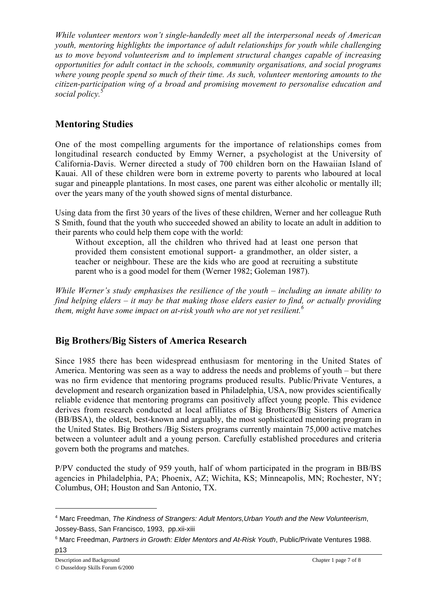*While volunteer mentors wonít single-handedly meet all the interpersonal needs of American youth, mentoring highlights the importance of adult relationships for youth while challenging us to move beyond volunteerism and to implement structural changes capable of increasing opportunities for adult contact in the schools, community organisations, and social programs where young people spend so much of their time. As such, volunteer mentoring amounts to the citizen-participation wing of a broad and promising movement to personalise education and social policy.*<sup>5</sup>

### **Mentoring Studies**

One of the most compelling arguments for the importance of relationships comes from longitudinal research conducted by Emmy Werner, a psychologist at the University of California-Davis. Werner directed a study of 700 children born on the Hawaiian Island of Kauai. All of these children were born in extreme poverty to parents who laboured at local sugar and pineapple plantations. In most cases, one parent was either alcoholic or mentally ill; over the years many of the youth showed signs of mental disturbance.

Using data from the first 30 years of the lives of these children, Werner and her colleague Ruth S Smith, found that the youth who succeeded showed an ability to locate an adult in addition to their parents who could help them cope with the world:

Without exception, all the children who thrived had at least one person that provided them consistent emotional support- a grandmother, an older sister, a teacher or neighbour. These are the kids who are good at recruiting a substitute parent who is a good model for them (Werner 1982; Goleman 1987).

*While Werner's study emphasises the resilience of the youth – including an innate ability to find helping elders – it may be that making those elders easier to find, or actually providing them, might have some impact on at-risk youth who are not yet resilient.*<sup>6</sup>

### **Big Brothers/Big Sisters of America Research**

Since 1985 there has been widespread enthusiasm for mentoring in the United States of America. Mentoring was seen as a way to address the needs and problems of youth  $-$  but there was no firm evidence that mentoring programs produced results. Public/Private Ventures, a development and research organization based in Philadelphia, USA, now provides scientifically reliable evidence that mentoring programs can positively affect young people. This evidence derives from research conducted at local affiliates of Big Brothers/Big Sisters of America (BB/BSA), the oldest, best-known and arguably, the most sophisticated mentoring program in the United States. Big Brothers /Big Sisters programs currently maintain 75,000 active matches between a volunteer adult and a young person. Carefully established procedures and criteria govern both the programs and matches.

P/PV conducted the study of 959 youth, half of whom participated in the program in BB/BS agencies in Philadelphia, PA; Phoenix, AZ; Wichita, KS; Minneapolis, MN; Rochester, NY; Columbus, OH; Houston and San Antonio, TX.

<sup>&</sup>lt;sup>4</sup> Marc Freedman, The Kindness of Strangers: Adult Mentors, Urban Youth and the New Volunteerism, Jossey-Bass, San Francisco, 1993, pp.xii-xiii

<sup>&</sup>lt;sup>6</sup> Marc Freedman, Partners in Growth: Elder Mentors and At-Risk Youth, Public/Private Ventures 1988.